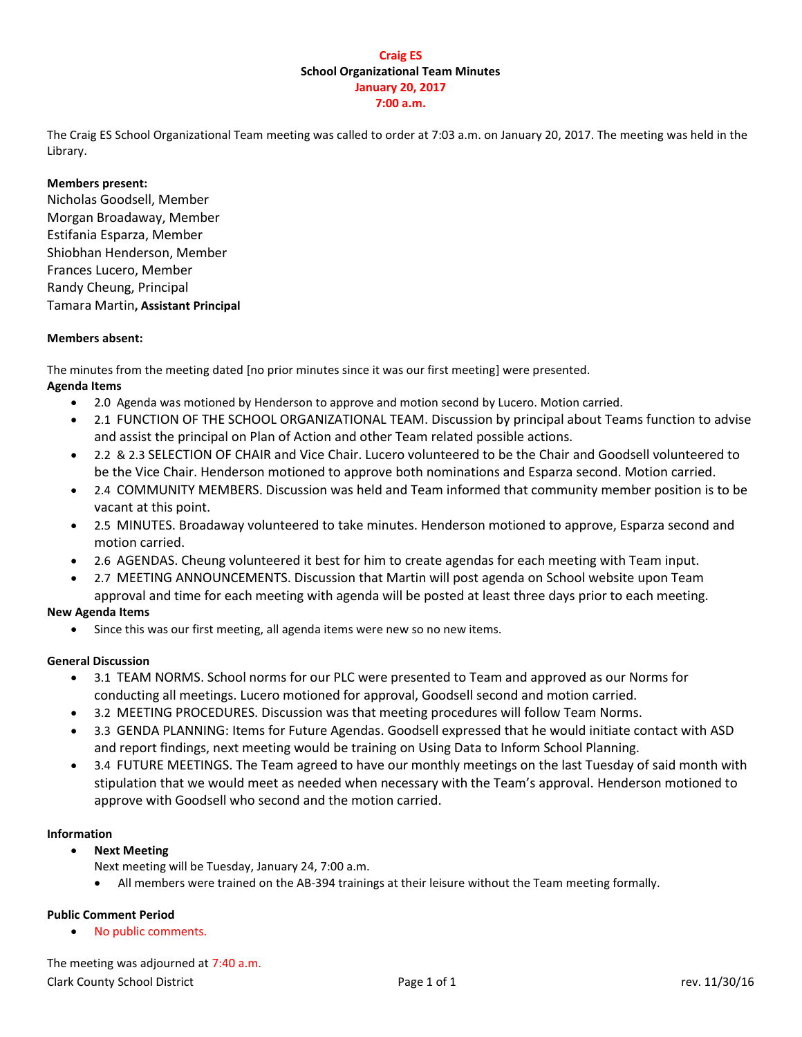## **Craig ES School Organizational Team Minutes January 20, 2017 7:00 a.m.**

The Craig ES School Organizational Team meeting was called to order at 7:03 a.m. on January 20, 2017. The meeting was held in the Library.

## **Members present:**

Nicholas Goodsell, Member Morgan Broadaway, Member Estifania Esparza, Member Shiobhan Henderson, Member Frances Lucero, Member Randy Cheung, Principal Tamara Martin**, Assistant Principal**

## **Members absent:**

The minutes from the meeting dated [no prior minutes since it was our first meeting] were presented. **Agenda Items**

- 2.0 Agenda was motioned by Henderson to approve and motion second by Lucero. Motion carried.
- 2.1 FUNCTION OF THE SCHOOL ORGANIZATIONAL TEAM. Discussion by principal about Teams function to advise and assist the principal on Plan of Action and other Team related possible actions.
- 2.2 & 2.3 SELECTION OF CHAIR and Vice Chair. Lucero volunteered to be the Chair and Goodsell volunteered to be the Vice Chair. Henderson motioned to approve both nominations and Esparza second. Motion carried.
- 2.4 COMMUNITY MEMBERS. Discussion was held and Team informed that community member position is to be vacant at this point.
- 2.5 MINUTES. Broadaway volunteered to take minutes. Henderson motioned to approve, Esparza second and motion carried.
- 2.6 AGENDAS. Cheung volunteered it best for him to create agendas for each meeting with Team input.
- 2.7 MEETING ANNOUNCEMENTS. Discussion that Martin will post agenda on School website upon Team approval and time for each meeting with agenda will be posted at least three days prior to each meeting.

## **New Agenda Items**

Since this was our first meeting, all agenda items were new so no new items.

## **General Discussion**

- 3.1 TEAM NORMS. School norms for our PLC were presented to Team and approved as our Norms for conducting all meetings. Lucero motioned for approval, Goodsell second and motion carried.
- 3.2 MEETING PROCEDURES. Discussion was that meeting procedures will follow Team Norms.
- 3.3 GENDA PLANNING: Items for Future Agendas. Goodsell expressed that he would initiate contact with ASD and report findings, next meeting would be training on Using Data to Inform School Planning.
- 3.4 FUTURE MEETINGS. The Team agreed to have our monthly meetings on the last Tuesday of said month with stipulation that we would meet as needed when necessary with the Team's approval. Henderson motioned to approve with Goodsell who second and the motion carried.

## **Information**

- **Next Meeting** 
	- Next meeting will be Tuesday, January 24, 7:00 a.m.
	- All members were trained on the AB-394 trainings at their leisure without the Team meeting formally.

## **Public Comment Period**

No public comments.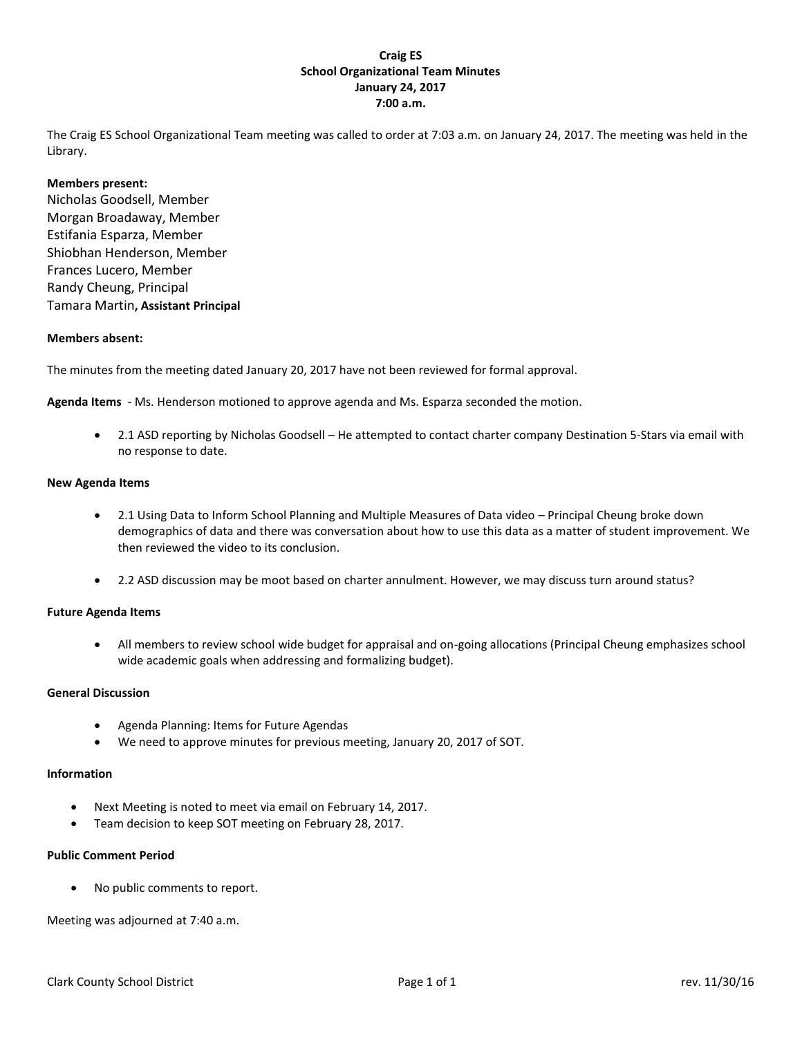## **Craig ES School Organizational Team Minutes January 24, 2017 7:00 a.m.**

The Craig ES School Organizational Team meeting was called to order at 7:03 a.m. on January 24, 2017. The meeting was held in the Library.

#### **Members present:**

Nicholas Goodsell, Member Morgan Broadaway, Member Estifania Esparza, Member Shiobhan Henderson, Member Frances Lucero, Member Randy Cheung, Principal Tamara Martin**, Assistant Principal**

#### **Members absent:**

The minutes from the meeting dated January 20, 2017 have not been reviewed for formal approval.

**Agenda Items** - Ms. Henderson motioned to approve agenda and Ms. Esparza seconded the motion.

 2.1 ASD reporting by Nicholas Goodsell – He attempted to contact charter company Destination 5-Stars via email with no response to date.

#### **New Agenda Items**

- 2.1 Using Data to Inform School Planning and Multiple Measures of Data video Principal Cheung broke down demographics of data and there was conversation about how to use this data as a matter of student improvement. We then reviewed the video to its conclusion.
- 2.2 ASD discussion may be moot based on charter annulment. However, we may discuss turn around status?

#### **Future Agenda Items**

 All members to review school wide budget for appraisal and on-going allocations (Principal Cheung emphasizes school wide academic goals when addressing and formalizing budget).

#### **General Discussion**

- Agenda Planning: Items for Future Agendas
- We need to approve minutes for previous meeting, January 20, 2017 of SOT.

#### **Information**

- Next Meeting is noted to meet via email on February 14, 2017.
- Team decision to keep SOT meeting on February 28, 2017.

#### **Public Comment Period**

No public comments to report.

Meeting was adjourned at 7:40 a.m.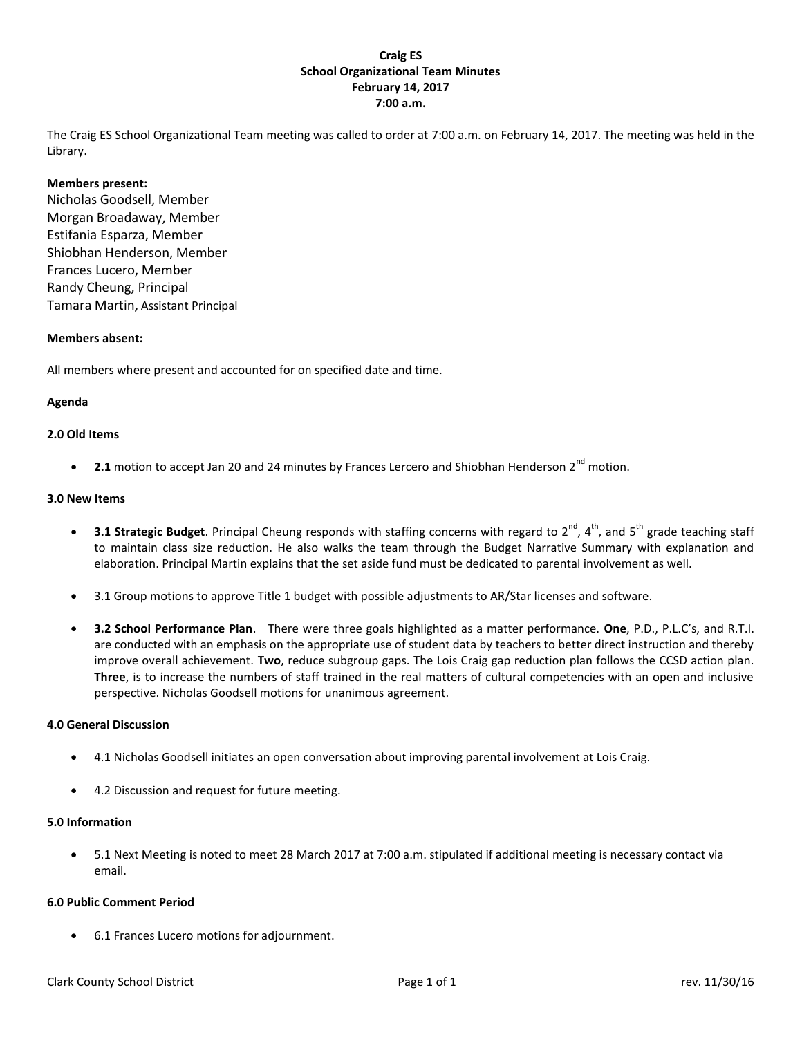## **Craig ES School Organizational Team Minutes February 14, 2017 7:00 a.m.**

The Craig ES School Organizational Team meeting was called to order at 7:00 a.m. on February 14, 2017. The meeting was held in the Library.

#### **Members present:**

Nicholas Goodsell, Member Morgan Broadaway, Member Estifania Esparza, Member Shiobhan Henderson, Member Frances Lucero, Member Randy Cheung, Principal Tamara Martin**,** Assistant Principal

#### **Members absent:**

All members where present and accounted for on specified date and time.

#### **Agenda**

#### **2.0 Old Items**

**2.1** motion to accept Jan 20 and 24 minutes by Frances Lercero and Shiobhan Henderson 2<sup>nd</sup> motion.

#### **3.0 New Items**

- **3.1 Strategic Budget**. Principal Cheung responds with staffing concerns with regard to 2<sup>nd</sup>, 4<sup>th</sup>, and 5<sup>th</sup> grade teaching staff to maintain class size reduction. He also walks the team through the Budget Narrative Summary with explanation and elaboration. Principal Martin explains that the set aside fund must be dedicated to parental involvement as well.
- 3.1 Group motions to approve Title 1 budget with possible adjustments to AR/Star licenses and software.
- **3.2 School Performance Plan**. There were three goals highlighted as a matter performance. **One**, P.D., P.L.C's, and R.T.I. are conducted with an emphasis on the appropriate use of student data by teachers to better direct instruction and thereby improve overall achievement. **Two**, reduce subgroup gaps. The Lois Craig gap reduction plan follows the CCSD action plan. **Three**, is to increase the numbers of staff trained in the real matters of cultural competencies with an open and inclusive perspective. Nicholas Goodsell motions for unanimous agreement.

#### **4.0 General Discussion**

- 4.1 Nicholas Goodsell initiates an open conversation about improving parental involvement at Lois Craig.
- 4.2 Discussion and request for future meeting.

#### **5.0 Information**

 5.1 Next Meeting is noted to meet 28 March 2017 at 7:00 a.m. stipulated if additional meeting is necessary contact via email.

#### **6.0 Public Comment Period**

6.1 Frances Lucero motions for adjournment.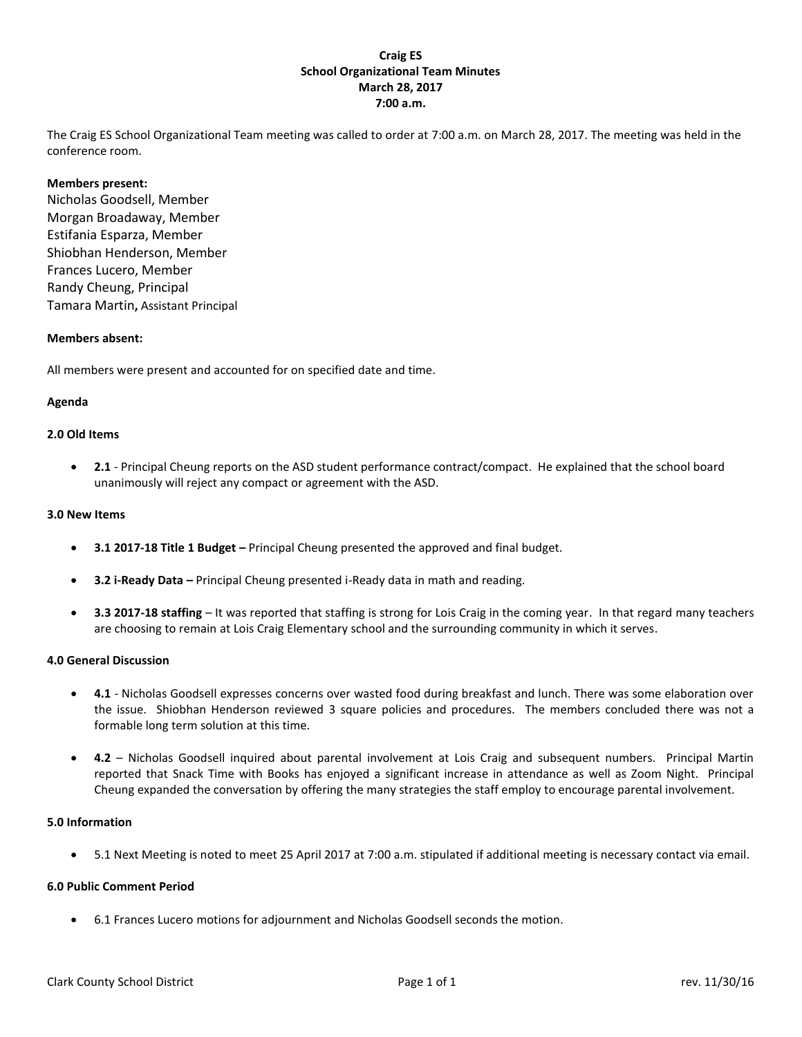## **Craig ES School Organizational Team Minutes March 28, 2017 7:00 a.m.**

The Craig ES School Organizational Team meeting was called to order at 7:00 a.m. on March 28, 2017. The meeting was held in the conference room.

#### **Members present:**

Nicholas Goodsell, Member Morgan Broadaway, Member Estifania Esparza, Member Shiobhan Henderson, Member Frances Lucero, Member Randy Cheung, Principal Tamara Martin**,** Assistant Principal

#### **Members absent:**

All members were present and accounted for on specified date and time.

#### **Agenda**

#### **2.0 Old Items**

 **2.1** - Principal Cheung reports on the ASD student performance contract/compact. He explained that the school board unanimously will reject any compact or agreement with the ASD.

#### **3.0 New Items**

- **3.1 2017-18 Title 1 Budget –** Principal Cheung presented the approved and final budget.
- **3.2 i-Ready Data –** Principal Cheung presented i-Ready data in math and reading.
- **3.3 2017-18 staffing** It was reported that staffing is strong for Lois Craig in the coming year. In that regard many teachers are choosing to remain at Lois Craig Elementary school and the surrounding community in which it serves.

#### **4.0 General Discussion**

- **4.1** Nicholas Goodsell expresses concerns over wasted food during breakfast and lunch. There was some elaboration over the issue. Shiobhan Henderson reviewed 3 square policies and procedures. The members concluded there was not a formable long term solution at this time.
- **4.2** Nicholas Goodsell inquired about parental involvement at Lois Craig and subsequent numbers. Principal Martin reported that Snack Time with Books has enjoyed a significant increase in attendance as well as Zoom Night. Principal Cheung expanded the conversation by offering the many strategies the staff employ to encourage parental involvement.

#### **5.0 Information**

5.1 Next Meeting is noted to meet 25 April 2017 at 7:00 a.m. stipulated if additional meeting is necessary contact via email.

#### **6.0 Public Comment Period**

6.1 Frances Lucero motions for adjournment and Nicholas Goodsell seconds the motion.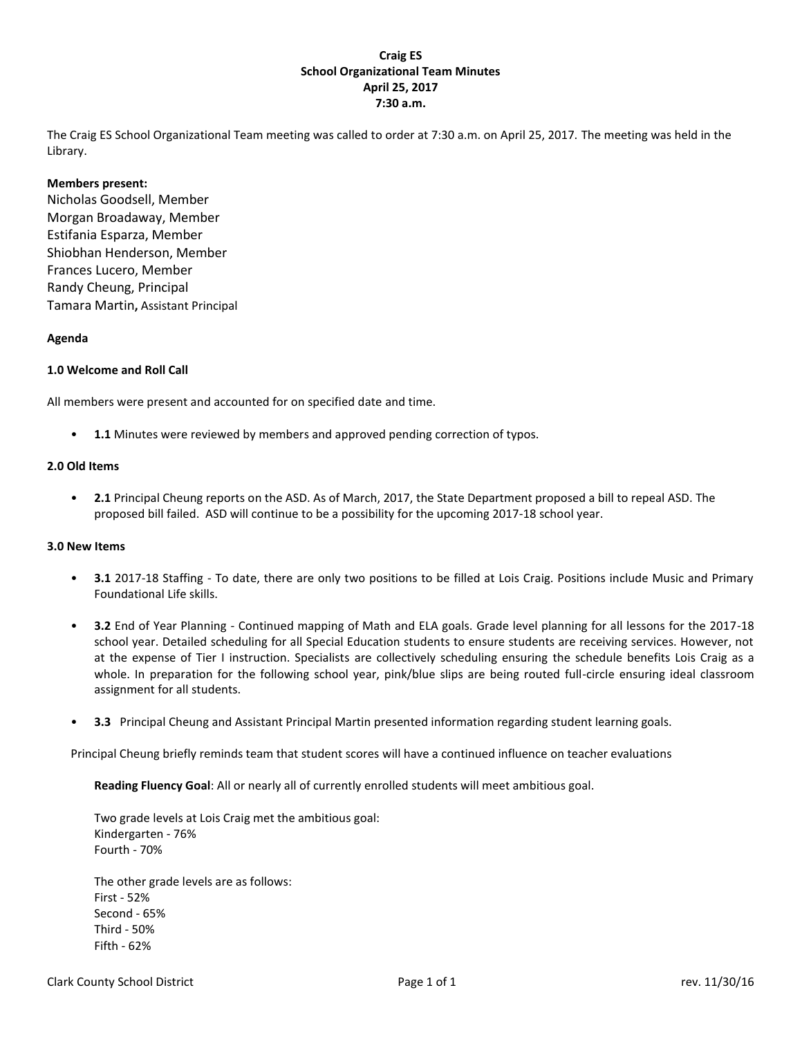## **Craig ES School Organizational Team Minutes April 25, 2017 7:30 a.m.**

The Craig ES School Organizational Team meeting was called to order at 7:30 a.m. on April 25, 2017. The meeting was held in the Library.

#### **Members present:**

Nicholas Goodsell, Member Morgan Broadaway, Member Estifania Esparza, Member Shiobhan Henderson, Member Frances Lucero, Member Randy Cheung, Principal Tamara Martin**,** Assistant Principal

#### **Agenda**

#### **1.0 Welcome and Roll Call**

All members were present and accounted for on specified date and time.

• **1.1** Minutes were reviewed by members and approved pending correction of typos.

#### **2.0 Old Items**

• **2.1** Principal Cheung reports on the ASD. As of March, 2017, the State Department proposed a bill to repeal ASD. The proposed bill failed. ASD will continue to be a possibility for the upcoming 2017-18 school year.

#### **3.0 New Items**

- **3.1** 2017-18 Staffing To date, there are only two positions to be filled at Lois Craig. Positions include Music and Primary Foundational Life skills.
- **3.2** End of Year Planning Continued mapping of Math and ELA goals. Grade level planning for all lessons for the 2017-18 school year. Detailed scheduling for all Special Education students to ensure students are receiving services. However, not at the expense of Tier I instruction. Specialists are collectively scheduling ensuring the schedule benefits Lois Craig as a whole. In preparation for the following school year, pink/blue slips are being routed full-circle ensuring ideal classroom assignment for all students.
- **3.3** Principal Cheung and Assistant Principal Martin presented information regarding student learning goals.

Principal Cheung briefly reminds team that student scores will have a continued influence on teacher evaluations

**Reading Fluency Goal**: All or nearly all of currently enrolled students will meet ambitious goal.

 Two grade levels at Lois Craig met the ambitious goal: Kindergarten - 76% Fourth - 70%

The other grade levels are as follows: First - 52% Second - 65% Third - 50% Fifth - 62%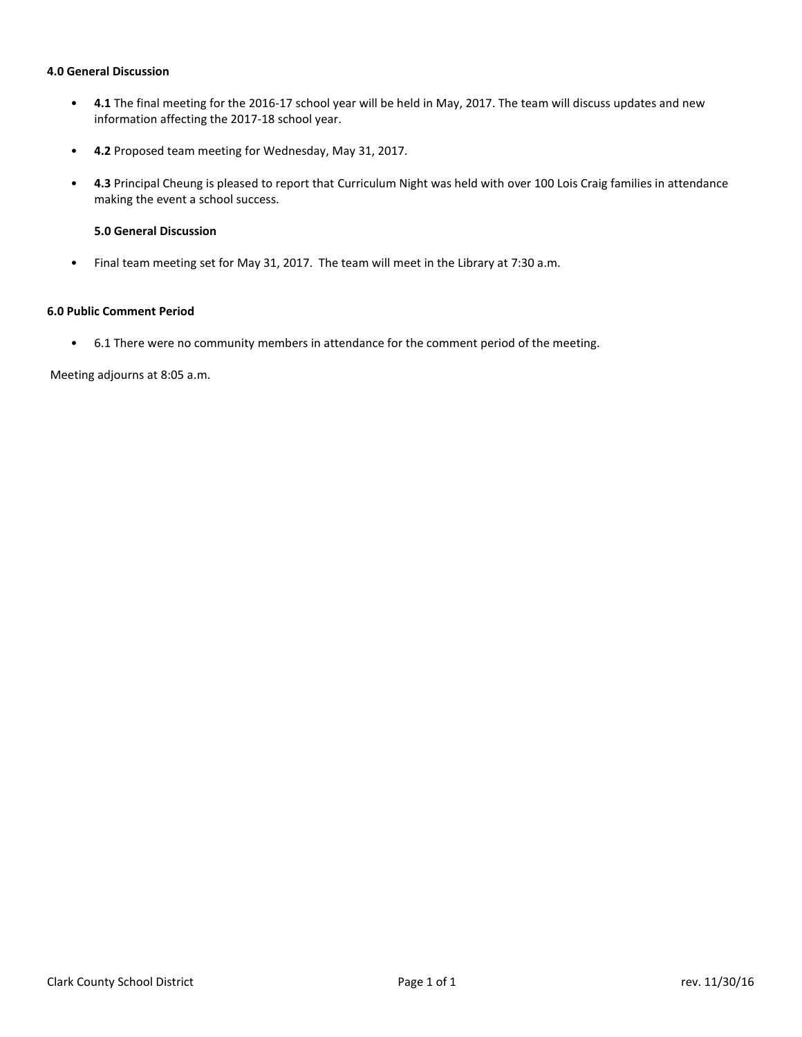#### **4.0 General Discussion**

- **4.1** The final meeting for the 2016-17 school year will be held in May, 2017. The team will discuss updates and new information affecting the 2017-18 school year.
- **4.2** Proposed team meeting for Wednesday, May 31, 2017.
- **4.3** Principal Cheung is pleased to report that Curriculum Night was held with over 100 Lois Craig families in attendance making the event a school success.

## **5.0 General Discussion**

• Final team meeting set for May 31, 2017. The team will meet in the Library at 7:30 a.m.

## **6.0 Public Comment Period**

• 6.1 There were no community members in attendance for the comment period of the meeting.

Meeting adjourns at 8:05 a.m.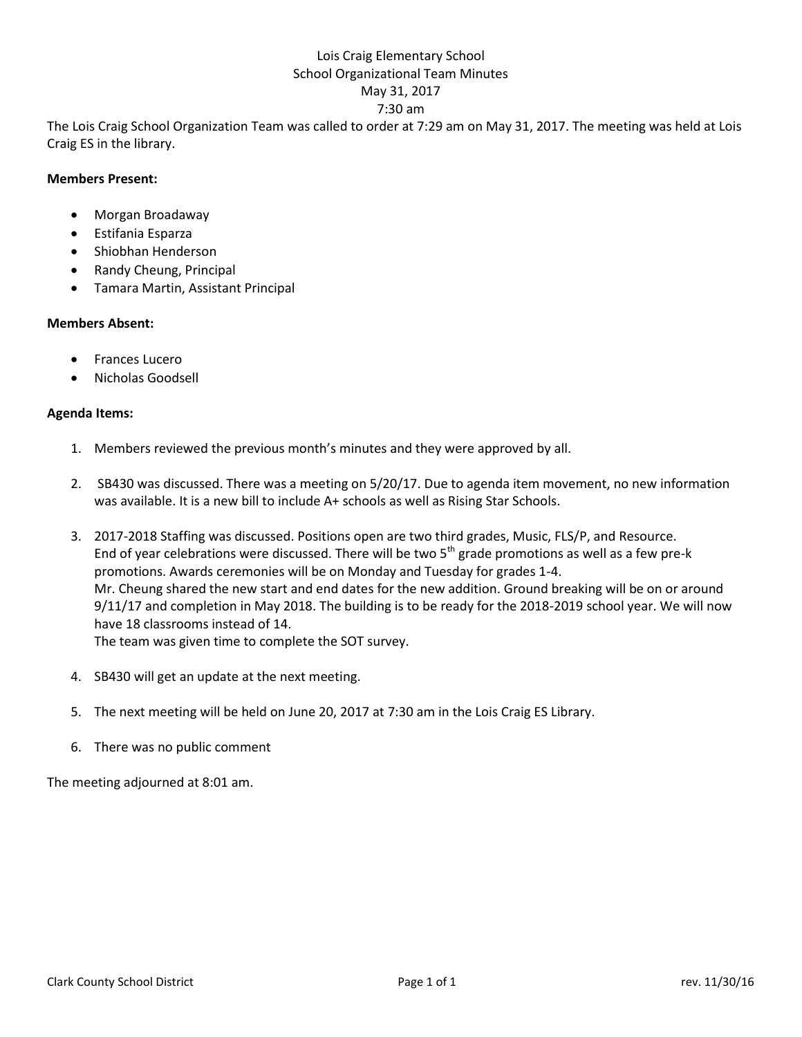## Lois Craig Elementary School School Organizational Team Minutes May 31, 2017 7:30 am

The Lois Craig School Organization Team was called to order at 7:29 am on May 31, 2017. The meeting was held at Lois Craig ES in the library.

## **Members Present:**

- Morgan Broadaway
- Estifania Esparza
- Shiobhan Henderson
- Randy Cheung, Principal
- Tamara Martin, Assistant Principal

## **Members Absent:**

- Frances Lucero
- Nicholas Goodsell

## **Agenda Items:**

- 1. Members reviewed the previous month's minutes and they were approved by all.
- 2. SB430 was discussed. There was a meeting on 5/20/17. Due to agenda item movement, no new information was available. It is a new bill to include A+ schools as well as Rising Star Schools.
- 3. 2017-2018 Staffing was discussed. Positions open are two third grades, Music, FLS/P, and Resource. End of year celebrations were discussed. There will be two  $5<sup>th</sup>$  grade promotions as well as a few pre-k promotions. Awards ceremonies will be on Monday and Tuesday for grades 1-4. Mr. Cheung shared the new start and end dates for the new addition. Ground breaking will be on or around 9/11/17 and completion in May 2018. The building is to be ready for the 2018-2019 school year. We will now have 18 classrooms instead of 14. The team was given time to complete the SOT survey.
- 4. SB430 will get an update at the next meeting.
- 5. The next meeting will be held on June 20, 2017 at 7:30 am in the Lois Craig ES Library.
- 6. There was no public comment

The meeting adjourned at 8:01 am.